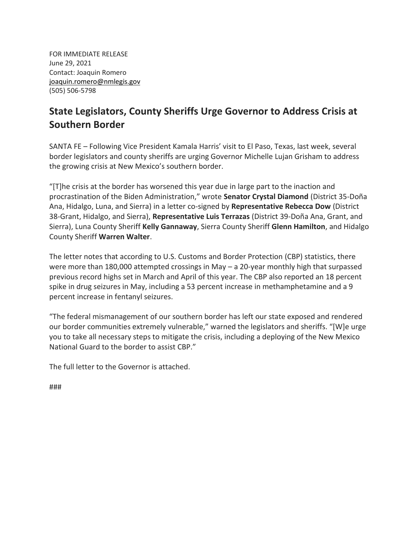FOR IMMEDIATE RELEASE June 29, 2021 Contact: Joaquin Romero [joaquin.romero@nmlegis.gov](mailto:joaquin.romero@nmlegis.gov) (505) 506-5798

## **State Legislators, County Sheriffs Urge Governor to Address Crisis at Southern Border**

SANTA FE – Following Vice President Kamala Harris' visit to El Paso, Texas, last week, several border legislators and county sheriffs are urging Governor Michelle Lujan Grisham to address the growing crisis at New Mexico's southern border.

"[T]he crisis at the border has worsened this year due in large part to the inaction and procrastination of the Biden Administration," wrote **Senator Crystal Diamond** (District 35-Doña Ana, Hidalgo, Luna, and Sierra) in a letter co-signed by **Representative Rebecca Dow** (District 38-Grant, Hidalgo, and Sierra), **Representative Luis Terrazas** (District 39-Doña Ana, Grant, and Sierra), Luna County Sheriff **Kelly Gannaway**, Sierra County Sheriff **Glenn Hamilton**, and Hidalgo County Sheriff **Warren Walter**.

The letter notes that according to U.S. Customs and Border Protection (CBP) statistics, there were more than 180,000 attempted crossings in May – a 20-year monthly high that surpassed previous record highs set in March and April of this year. The CBP also reported an 18 percent spike in drug seizures in May, including a 53 percent increase in methamphetamine and a 9 percent increase in fentanyl seizures.

"The federal mismanagement of our southern border has left our state exposed and rendered our border communities extremely vulnerable," warned the legislators and sheriffs. "[W]e urge you to take all necessary steps to mitigate the crisis, including a deploying of the New Mexico National Guard to the border to assist CBP."

The full letter to the Governor is attached.

###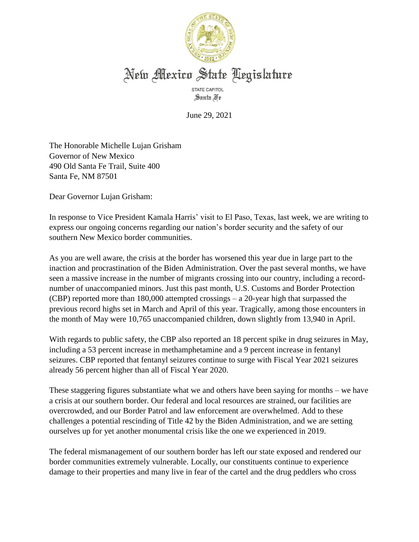

## New Mexico State Legislature

STATE CAPITOL Santa Fe

June 29, 2021

The Honorable Michelle Lujan Grisham Governor of New Mexico 490 Old Santa Fe Trail, Suite 400 Santa Fe, NM 87501

Dear Governor Lujan Grisham:

In response to Vice President Kamala Harris' visit to El Paso, Texas, last week, we are writing to express our ongoing concerns regarding our nation's border security and the safety of our southern New Mexico border communities.

As you are well aware, the crisis at the border has worsened this year due in large part to the inaction and procrastination of the Biden Administration. Over the past several months, we have seen a massive increase in the number of migrants crossing into our country, including a recordnumber of unaccompanied minors. Just this past month, U.S. Customs and Border Protection (CBP) reported more than 180,000 attempted crossings – a 20-year high that surpassed the previous record highs set in March and April of this year. Tragically, among those encounters in the month of May were 10,765 unaccompanied children, down slightly from 13,940 in April.

With regards to public safety, the CBP also reported an 18 percent spike in drug seizures in May, including a 53 percent increase in methamphetamine and a 9 percent increase in fentanyl seizures. CBP reported that fentanyl seizures continue to surge with Fiscal Year 2021 seizures already 56 percent higher than all of Fiscal Year 2020.

These staggering figures substantiate what we and others have been saying for months – we have a crisis at our southern border. Our federal and local resources are strained, our facilities are overcrowded, and our Border Patrol and law enforcement are overwhelmed. Add to these challenges a potential rescinding of Title 42 by the Biden Administration, and we are setting ourselves up for yet another monumental crisis like the one we experienced in 2019.

The federal mismanagement of our southern border has left our state exposed and rendered our border communities extremely vulnerable. Locally, our constituents continue to experience damage to their properties and many live in fear of the cartel and the drug peddlers who cross